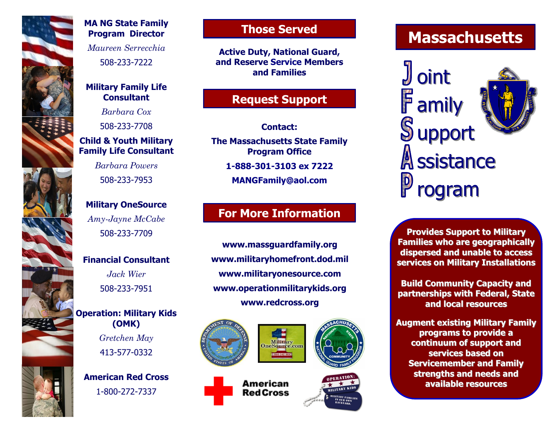

### **MA NG State Family Program Director**

*Maureen Serrecchia* 508-233-7222

#### **Military Family Life Consultant**

*Barbara Cox* 508-233-7708

## **Child & Youth Military Family Life Consultant**

*Barbara Powers* 508-233-7953

## **Military OneSource** *Amy-Jayne McCabe* 508-233-7709

**Financial Consultant**

*Jack Wier* 508-233-7951

## **Operation: Military Kids (OMK)** *Gretchen May* 413-577-0332

**American Red Cross** 1-800-272-7337

## **Those Served**

**Active Duty, National Guard, and Reserve Service Members and Families**

## **Request Support**

**Contact:**

**The Massachusetts State Family Program Office**

**1-888-301-3103 ex 7222**

**MANGFamily@aol.com**

# **For More Information**

**www.massguardfamily.org www.militaryhomefront.dod.mil www.militaryonesource.com www.operationmilitarykids.org www.redcross.org**



# **Massachusetts**

oint **F** amily **Support** A ssistance rogram

**Provides Support to Military Families who are geographically dispersed and unable to access services on Military Installations**

**Build Community Capacity and partnerships with Federal, State and local resources**

**Augment existing Military Family programs to provide a continuum of support and services based on Servicemember and Family strengths and needs and available resources**